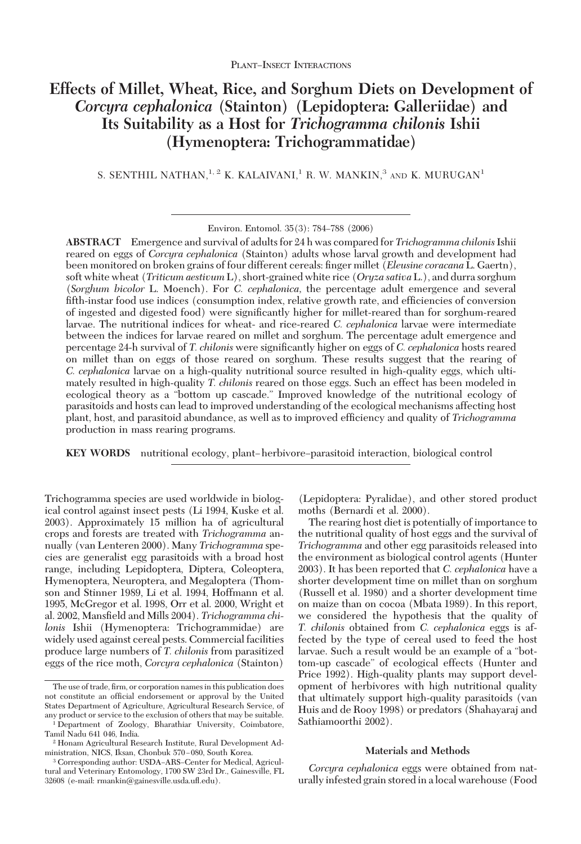# **Effects of Millet, Wheat, Rice, and Sorghum Diets on Development of** *Corcyra cephalonica* **(Stainton) (Lepidoptera: Galleriidae) and Its Suitability as a Host for** *Trichogramma chilonis* **Ishii (Hymenoptera: Trichogrammatidae)**

S. SENTHIL NATHAN,  $^{1, 2}$  K. KALAIVANI,  $^{1}$  R. W. MANKIN,  $^{3}$  and K. MURUGAN<sup>1</sup>

**ABSTRACT** Emergence and survival of adults for 24 h was compared for *Trichogramma chilonis*Ishii reared on eggs of *Corcyra cephalonica* (Stainton) adults whose larval growth and development had been monitored on broken grains of four different cereals: finger millet (*Eleusine coracana* L. Gaertn), soft white wheat (*Triticum aestivum* L), short-grained white rice (*Oryza sativa* L.), and durra sorghum (*Sorghum bicolor* L. Moench). For *C. cephalonica,* the percentage adult emergence and several fifth-instar food use indices (consumption index, relative growth rate, and efficiencies of conversion of ingested and digested food) were significantly higher for millet-reared than for sorghum-reared larvae. The nutritional indices for wheat- and rice-reared *C. cephalonica* larvae were intermediate between the indices for larvae reared on millet and sorghum. The percentage adult emergence and percentage 24-h survival of *T. chilonis* were significantly higher on eggs of *C. cephalonica* hosts reared on millet than on eggs of those reared on sorghum. These results suggest that the rearing of *C. cephalonica* larvae on a high-quality nutritional source resulted in high-quality eggs, which ultimately resulted in high-quality *T. chilonis* reared on those eggs. Such an effect has been modeled in ecological theory as a "bottom up cascade." Improved knowledge of the nutritional ecology of parasitoids and hosts can lead to improved understanding of the ecological mechanisms affecting host plant, host, and parasitoid abundance, as well as to improved efficiency and quality of *Trichogramma* production in mass rearing programs.

**KEY WORDS** nutritional ecology, plant–herbivore–parasitoid interaction, biological control

Trichogramma species are used worldwide in biological control against insect pests (Li 1994, Kuske et al. 2003). Approximately 15 million ha of agricultural crops and forests are treated with *Trichogramma* annually (van Lenteren 2000). Many *Trichogramma* species are generalist egg parasitoids with a broad host range, including Lepidoptera, Diptera, Coleoptera, Hymenoptera, Neuroptera, and Megaloptera (Thomson and Stinner 1989, Li et al. 1994, Hoffmann et al. 1995, McGregor et al. 1998, Orr et al. 2000, Wright et al. 2002, Mansfield and Mills 2004). *Trichogramma chilonis* Ishii (Hymenoptera: Trichogrammidae) are widely used against cereal pests. Commercial facilities produce large numbers of *T. chilonis* from parasitized eggs of the rice moth, *Corcyra cephalonica* (Stainton)

(Lepidoptera: Pyralidae), and other stored product moths (Bernardi et al. 2000).

The rearing host diet is potentially of importance to the nutritional quality of host eggs and the survival of *Trichogramma* and other egg parasitoids released into the environment as biological control agents (Hunter 2003). It has been reported that *C. cephalonica* have a shorter development time on millet than on sorghum (Russell et al. 1980) and a shorter development time on maize than on cocoa (Mbata 1989). In this report, we considered the hypothesis that the quality of *T. chilonis* obtained from *C. cephalonica* eggs is affected by the type of cereal used to feed the host larvae. Such a result would be an example of a "bottom-up cascade" of ecological effects (Hunter and Price 1992). High-quality plants may support development of herbivores with high nutritional quality that ultimately support high-quality parasitoids (van Huis and de Rooy 1998) or predators (Shahayaraj and Sathiamoorthi 2002).

## **Materials and Methods**

*Corcyra cephalonica* eggs were obtained from naturally infested grain stored in a local warehouse (Food

Environ. Entomol. 35(3): 784-788 (2006)

The use of trade, firm, or corporation names in this publication does not constitute an official endorsement or approval by the United States Department of Agriculture, Agricultural Research Service, of any product or service to the exclusion of others that may be suitable.

<sup>1</sup> Department of Zoology, Bharathiar University, Coimbatore, Tamil Nadu 641 046, India.

<sup>2</sup> Honam Agricultural Research Institute, Rural Development Administration, NICS, Iksan, Chonbuk 570-080, South Korea.

<sup>&</sup>lt;sup>3</sup> Corresponding author: USDA-ARS-Center for Medical, Agricultural and Veterinary Entomology, 1700 SW 23rd Dr., Gainesville, FL 32608 (e-mail: rmankin@gainesville.usda.uß.edu).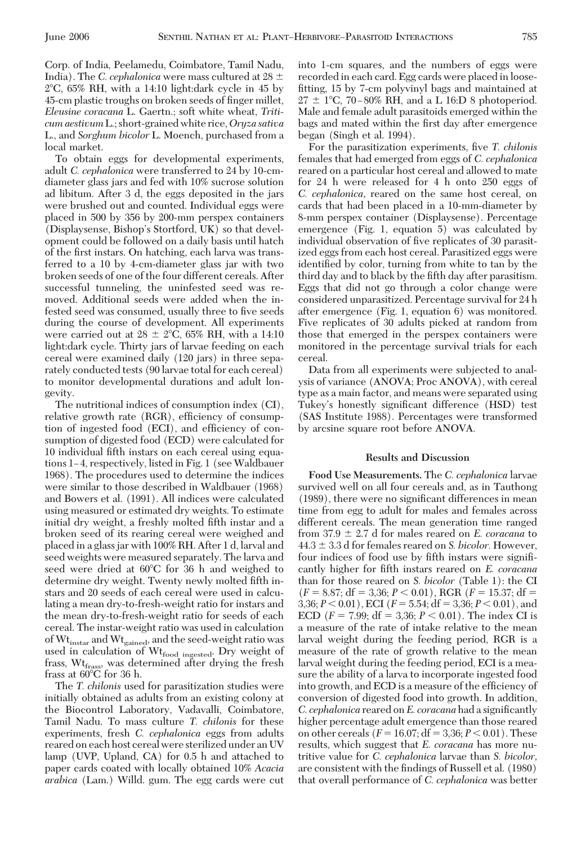Corp. of India, Peelamedu, Coimbatore, Tamil Nadu, India). The *C. cephalonica* were mass cultured at  $28 \pm$ 2-C, 65% RH, with a 14:10 light:dark cycle in 45 by 45-cm plastic troughs on broken seeds of finger millet, *Eleusine coracana* L. Gaertn.; soft white wheat, *Triticum aestivum* L.; short-grained white rice,*Oryza sativa* L., and *Sorghum bicolor* L. Moench, purchased from a local market.

To obtain eggs for developmental experiments, adult *C. cephalonica* were transferred to 24 by 10-cmdiameter glass jars and fed with 10% sucrose solution ad libitum. After 3 d, the eggs deposited in the jars were brushed out and counted. Individual eggs were placed in 500 by 356 by 200-mm perspex containers (Displaysense, Bishop's Stortford, UK) so that development could be followed on a daily basis until hatch of the first instars. On hatching, each larva was transferred to a 10 by 4-cm-diameter glass jar with two broken seeds of one of the four different cereals. After successful tunneling, the uninfested seed was removed. Additional seeds were added when the infested seed was consumed, usually three to five seeds during the course of development. All experiments were carried out at 28  $\pm$  2°C, 65% RH, with a 14:10 light:dark cycle. Thirty jars of larvae feeding on each cereal were examined daily (120 jars) in three separately conducted tests (90 larvae total for each cereal) to monitor developmental durations and adult longevity.

The nutritional indices of consumption index (CI), relative growth rate (RGR), efficiency of consumption of ingested food (ECI), and efficiency of consumption of digested food (ECD) were calculated for 10 individual fifth instars on each cereal using equations 1–4, respectively, listed in Fig. 1 (see Waldbauer 1968). The procedures used to determine the indices were similar to those described in Waldbauer (1968) and Bowers et al. (1991). All indices were calculated using measured or estimated dry weights. To estimate initial dry weight, a freshly molted fifth instar and a broken seed of its rearing cereal were weighed and placed in a glass jar with 100% RH. After 1 d, larval and seed weights were measured separately. The larva and seed were dried at 60°C for 36 h and weighed to determine dry weight. Twenty newly molted fifth instars and 20 seeds of each cereal were used in calculating a mean dry-to-fresh-weight ratio for instars and the mean dry-to-fresh-weight ratio for seeds of each cereal. The instar-weight ratio was used in calculation of Wt<sub>instar</sub> and Wt<sub>gained</sub>, and the seed-weight ratio was used in calculation of Wt<sub>food ingested</sub>. Dry weight of frass, Wt<sub>frass</sub>, was determined after drying the fresh frass at  $60^{\circ}$ C for 36 h.

The *T. chilonis* used for parasitization studies were initially obtained as adults from an existing colony at the Biocontrol Laboratory, Vadavalli, Coimbatore, Tamil Nadu. To mass culture *T. chilonis* for these experiments, fresh *C. cephalonica* eggs from adults reared on each host cereal were sterilized under an UV lamp (UVP, Upland, CA) for 0.5 h and attached to paper cards coated with locally obtained 10% *Acacia arabica* (Lam.) Willd. gum. The egg cards were cut into 1-cm squares, and the numbers of eggs were recorded in each card. Egg cards were placed in loosefitting, 15 by 7-cm polyvinyl bags and maintained at  $27 \pm 1^{\circ}$ C, 70-80% RH, and a L 16:D 8 photoperiod. Male and female adult parasitoids emerged within the bags and mated within the first day after emergence began (Singh et al. 1994).

For the parasitization experiments, five *T. chilonis* females that had emerged from eggs of *C. cephalonica* reared on a particular host cereal and allowed to mate for 24 h were released for 4 h onto 250 eggs of *C. cephalonica,* reared on the same host cereal, on cards that had been placed in a 10-mm-diameter by 8-mm perspex container (Displaysense). Percentage emergence (Fig. 1, equation 5) was calculated by individual observation of five replicates of 30 parasitized eggs from each host cereal. Parasitized eggs were identified by color, turning from white to tan by the third day and to black by the fifth day after parasitism. Eggs that did not go through a color change were considered unparasitized. Percentage survival for 24 h after emergence (Fig. 1, equation 6) was monitored. Five replicates of 30 adults picked at random from those that emerged in the perspex containers were monitored in the percentage survival trials for each cereal.

Data from all experiments were subjected to analysis of variance (ANOVA; Proc ANOVA), with cereal type as a main factor, and means were separated using Tukey's honestly significant difference (HSD) test (SAS Institute 1988). Percentages were transformed by arcsine square root before ANOVA.

## **Results and Discussion**

**Food Use Measurements.** The *C. cephalonica* larvae survived well on all four cereals and, as in Tauthong (1989), there were no significant differences in mean time from egg to adult for males and females across different cereals. The mean generation time ranged from  $37.9 \pm 2.7$  d for males reared on *E. coracana* to  $44.3 \pm 3.3$  d for females reared on *S. bicolor.* However, four indices of food use by fifth instars were significantly higher for fifth instars reared on *E. coracana* than for those reared on *S. bicolor* (Table 1): the CI  $(F = 8.87; df = 3,36; P < 0.01)$ , RGR  $(F = 15.37; df =$ 3,36;  $P < 0.01$ ), ECI ( $F = 5.54$ ; df = 3,36;  $P < 0.01$ ), and ECD ( $F = 7.99$ ; df = 3,36;  $P < 0.01$ ). The index CI is a measure of the rate of intake relative to the mean larval weight during the feeding period, RGR is a measure of the rate of growth relative to the mean larval weight during the feeding period, ECI is a measure the ability of a larva to incorporate ingested food into growth, and ECD is a measure of the efficiency of conversion of digested food into growth. In addition, *C. cephalonica* reared on *E. coracana* had a significantly higher percentage adult emergence than those reared on other cereals  $(F = 16.07; df = 3,36; P < 0.01)$ . These results, which suggest that *E. coracana* has more nutritive value for *C. cephalonica* larvae than *S. bicolor,* are consistent with the findings of Russell et al. (1980) that overall performance of *C. cephalonica* was better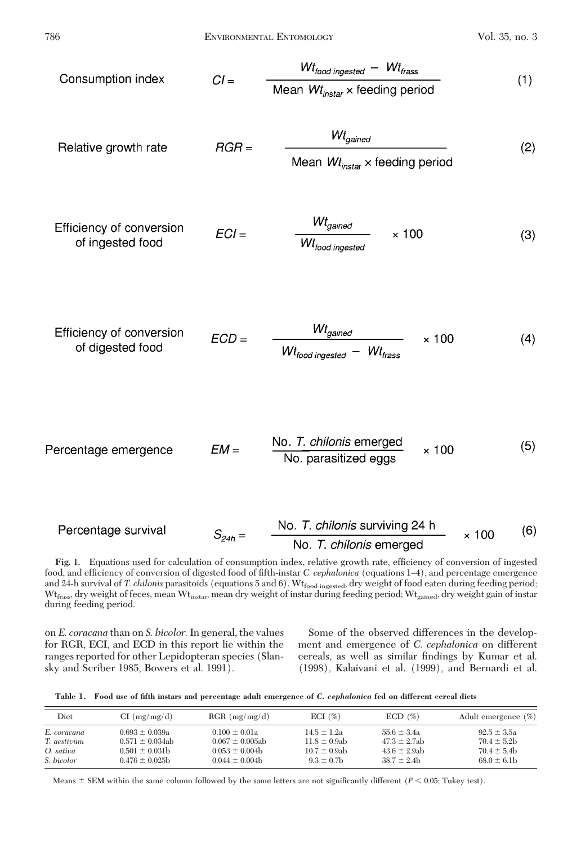| Consumption index | $CI =$ | $\frac{Wt_{\text{food ingested}} - Wt_{\text{frass}}}{\text{Mean } Wt_{\text{instar}} \times \text{ feeding period}}$ | (1) |
|-------------------|--------|-----------------------------------------------------------------------------------------------------------------------|-----|
|-------------------|--------|-----------------------------------------------------------------------------------------------------------------------|-----|

 $\overline{a}$ 

Relative growth rate

\n
$$
RGR = \frac{Wt_{gained}}{Mean Wt_{instar} \times feeding period}
$$
\n(2)

Efficiency of conversion 
$$
ECI = \frac{Wt_{gained}}{Wt_{food} \times 100}
$$
 (3)

Efficiency of conversion 
$$
ECD = \frac{Wt_{gained}}{Wt_{food ingested} - Wt_{frass}} \times 100
$$
 (4)

Percentage emergence 
$$
EM = \frac{No. T. chilonis emerged}{No. parasitized eggs} \times 100
$$
 (5)

Percentage survival 
$$
S_{24h} =
$$
  $\frac{\text{No. } T. \text{ chilonis surviving } 24 \text{ h}}{\text{No. } T. \text{ chilonis emerged}} \times 100$  (6)

**Fig. 1.** Equations used for calculation of consumption index, relative growth rate, efficiency of conversion of ingested food, and efficiency of conversion of digested food of fifth-instar *C. cephalonica* (equations 1-4), and percentage emergence and 24-h survival of *T. chilonis* parasitoids (equations 5 and 6). Wt<sub>food ingested</sub>, dry weight of food eaten during feeding period; Wt<sub>frass</sub>, dry weight of feces, mean Wt<sub>instar</sub>, mean dry weight of instar during feeding period; Wt<sub>gained</sub>, dry weight gain of instar during feeding period.

on *E. coracana* than on *S. bicolor.*In general, the values for RGR, ECI, and ECD in this report lie within the ranges reported for other Lepidopteran species (Slansky and Scriber 1985, Bowers et al. 1991).

Some of the observed differences in the development and emergence of *C. cephalonica* on different cereals, as well as similar findings by Kumar et al. (1998), Kalaivani et al. (1999), and Bernardi et al.

**Table 1. Food use of fifth instars and percentage adult emergence of** *C. cephalonica* **fed on different cereal diets**

| Diet        | CI (mg/mg/d)         | $RGR$ (mg/mg/d)      | ECI $(\%)$        | $ECD(\%)$         | Adult emergence $(\%)$ |
|-------------|----------------------|----------------------|-------------------|-------------------|------------------------|
| E. coracana | $0.693 \pm 0.039a$   | $0.100 \pm 0.01a$    | $14.5 \pm 1.2a$   | $55.6 \pm 3.4a$   | $92.5 \pm 3.5a$        |
| T. aestivum | $0.571 \pm 0.034$ ab | $0.067 \pm 0.005$ ab | $11.8 \pm 0.9$ ab | $47.3 \pm 2.7ab$  | $70.4 \pm 5.2$         |
| O. sativa   | $0.501 \pm 0.031$ b  | $0.053 \pm 0.004$    | $10.7 \pm 0.9$ ab | $43.6 \pm 2.9$ ab | $70.4 \pm 5.4$         |
| S. bicolor  | $0.476 \pm 0.025$    | $0.044 \pm 0.004$    | $9.3 \pm 0.7$ b   | $38.7 \pm 2.4$ b  | $68.0 \pm 6.1b$        |

Means  $\pm$  SEM within the same column followed by the same letters are not significantly different ( $P$  < 0.05; Tukey test).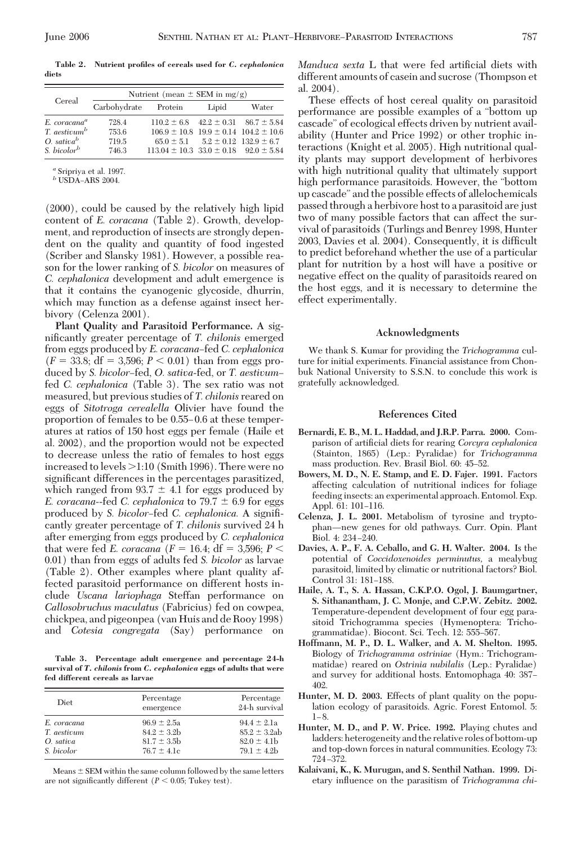Cereal  $\frac{\text{Nutrient (mean } \pm \text{SEM in mg/g)}}{\text{Carbohydrate } \text{Protein } \text{Lipid}}$ Carbohydrate Protein Lipid Water *E. coracana*<sup>*a*</sup> 728.4 110.2  $\pm$  6.8 42.2  $\pm$  0.31 86.7  $\pm$  5.84<br>*T. aestivum*<sup>*b*</sup> 753.6 106.9  $\pm$  10.8 19.9  $\pm$  0.14 104.2  $\pm$  10.6 *T. aestivum<sup>b</sup>* 753.6  $106.9 \pm 10.8$   $19.9 \pm 0.14$   $104.2 \pm 10.6$ <br>*O. sativa<sup>b</sup>* 719.5  $65.0 \pm 5.1$   $5.2 \pm 0.12$   $132.9 \pm 6.7$ *O. sativab* 719.5 65.0 ± 5.1 5.2 ± 0.12 132.9 ± 6.7<br> *S. bicolor*<sup>*b*</sup> 746.3 113.04 ± 10.3 33.0 ± 0.18 92.0 ± 5.8  $746.3$  113.04  $\pm$  10.3 33.0  $\pm$  0.18 92.0  $\pm$  5.84

**Table 2. Nutrient profiles of cereals used for** *C. cephalonica* **diets**

*<sup>a</sup>* Sripriya et al. 1997.

*b* USDA-ARS 2004.

(2000), could be caused by the relatively high lipid content of *E. coracana* (Table 2). Growth, development, and reproduction of insects are strongly dependent on the quality and quantity of food ingested (Scriber and Slansky 1981). However, a possible reason for the lower ranking of *S. bicolor* on measures of *C. cephalonica* development and adult emergence is that it contains the cyanogenic glycoside, dhurrin, which may function as a defense against insect herbivory (Celenza 2001).

**Plant Quality and Parasitoid Performance.** A significantly greater percentage of *T. chilonis* emerged from eggs produced by *E. coracana*-fed *C. cephalonica*  $(F = 33.8; df = 3,596; P < 0.01)$  than from eggs produced by *S. bicolor*–fed, *O. sativa*-fed, or *T. aestivum*– fed *C. cephalonica* (Table 3). The sex ratio was not measured, but previous studies of *T. chilonis* reared on eggs of *Sitotroga cerealella* Olivier have found the proportion of females to be 0.55–0.6 at these temperatures at ratios of 150 host eggs per female (Haile et al. 2002), and the proportion would not be expected to decrease unless the ratio of females to host eggs increased to levels  $>1:10$  (Smith 1996). There were no significant differences in the percentages parasitized, which ranged from  $93.7 \pm 4.1$  for eggs produced by *E. coracana*--fed *C. cephalonica* to  $79.7 \pm 6.9$  for eggs produced by *S. bicolor–fed C. cephalonica*. A significantly greater percentage of *T. chilonis* survived 24 h after emerging from eggs produced by *C. cephalonica* that were fed *E. coracana* ( $F = 16.4$ ; df = 3,596;  $P <$ 0.01) than from eggs of adults fed *S. bicolor* as larvae (Table 2). Other examples where plant quality affected parasitoid performance on different hosts include *Uscana lariophaga* Steffan performance on *Callosobruchus maculatus* (Fabricius) fed on cowpea, chickpea, and pigeonpea (van Huis and de Rooy 1998) and *Cotesia congregata* (Say) performance on

**Table 3. Percentage adult emergence and percentage 24-h survival of** *T. chilonis* **from** *C. cephalonica* **eggs of adults that were fed different cereals as larvae**

| Diet        | Percentage<br>emergence | Percentage<br>24-h survival |
|-------------|-------------------------|-----------------------------|
| E. coracana | $96.9 \pm 2.5a$         | $94.4 \pm 2.1a$             |
| T. aestivum | $84.2 \pm 3.2$          | $85.2 \pm 3.2ab$            |
| O. sativa   | $81.7 \pm 3.5$          | $82.0 \pm 4.1$              |
| S. bicolor  | $76.7 \pm 4.1c$         | $79.1 \pm 4.2b$             |

Means  $\pm$  SEM within the same column followed by the same letters are not significantly different ( $P < 0.05$ ; Tukey test).

*Manduca sexta* L that were fed artificial diets with different amounts of casein and sucrose (Thompson et al. 2004).

These effects of host cereal quality on parasitoid performance are possible examples of a "bottom up cascade" of ecological effects driven by nutrient availability (Hunter and Price 1992) or other trophic interactions (Knight et al. 2005). High nutritional quality plants may support development of herbivores with high nutritional quality that ultimately support high performance parasitoids. However, the "bottom up cascade" and the possible effects of allelochemicals passed through a herbivore host to a parasitoid are just two of many possible factors that can affect the survival of parasitoids (Turlings and Benrey 1998, Hunter 2003, Davies et al. 2004). Consequently, it is difficult to predict beforehand whether the use of a particular plant for nutrition by a host will have a positive or negative effect on the quality of parasitoids reared on the host eggs, and it is necessary to determine the effect experimentally.

### **Acknowledgments**

We thank S. Kumar for providing the *Trichogramma* culture for initial experiments. Financial assistance from Chonbuk National University to S.S.N. to conclude this work is gratefully acknowledged.

### **References Cited**

- **Bernardi, E. B., M. L. Haddad, and J.R.P. Parra. 2000.** Comparison of artificial diets for rearing *Corcyra cephalonica* (Stainton, 1865) (Lep.: Pyralidae) for *Trichogramma* mass production. Rev. Brasil Biol. 60: 45-52.
- **Bowers, M. D., N. E. Stamp, and E. D. Fajer. 1991.** Factors affecting calculation of nutritional indices for foliage feeding insects: an experimental approach. Entomol. Exp. Appl. 61: 101–116.
- **Celenza, J. L. 2001.** Metabolism of tyrosine and tryptophan-new genes for old pathways. Curr. Opin. Plant Biol. 4: 234-240.
- **Davies, A. P., F. A. Ceballo, and G. H. Walter. 2004.** Is the potential of *Coccidoxenoides perminutus,* a mealybug parasitoid, limited by climatic or nutritional factors? Biol. Control 31: 181-188.
- **Haile, A. T., S. A. Hassan, C.K.P.O. Ogol, J. Baumgartner, S. Sithanantham, J. C. Monje, and C.P.W. Zebitz. 2002.** Temperature-dependent development of four egg parasitoid Trichogramma species (Hymenoptera: Trichogrammatidae). Biocont. Sci. Tech. 12: 555-567.
- **Hoffmann, M. P., D. L. Walker, and A. M. Shelton. 1995.** Biology of *Trichogramma ostriniae* (Hym.: Trichogrammatidae) reared on *Ostrinia nubilalis* (Lep.: Pyralidae) and survey for additional hosts. Entomophaga 40: 387– 402.
- **Hunter, M. D. 2003.** Effects of plant quality on the population ecology of parasitoids. Agric. Forest Entomol. 5:  $1 - 8$ .
- **Hunter, M. D., and P. W. Price. 1992.** Playing chutes and ladders: heterogeneity and the relative roles of bottom-up and top-down forces in natural communities. Ecology 73: 724–372
- **Kalaivani, K., K. Murugan, and S. Senthil Nathan. 1999.** Dietary inßuence on the parasitism of *Trichogramma chi-*